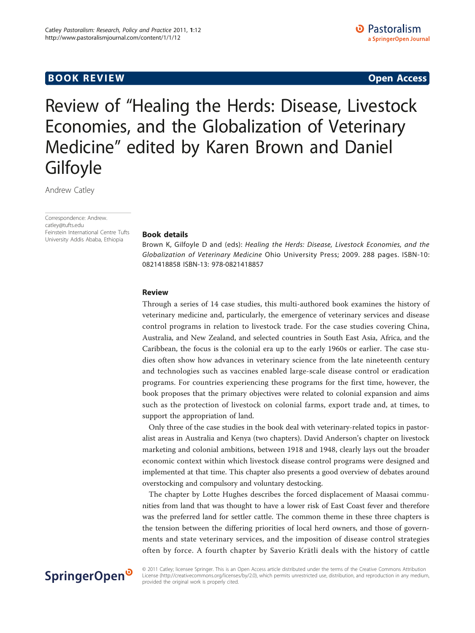## **BOOK REVIEW CONTROL** CONTROL CONTROL CONTROL CONTROL CONTROL CONTROL CONTROL CONTROL CONTROL CONTROL CONTROL CONTROL CONTROL CONTROL CONTROL CONTROL CONTROL CONTROL CONTROL CONTROL CONTROL CONTROL CONTROL CONTROL CONTROL

Review of "Healing the Herds: Disease, Livestock Economies, and the Globalization of Veterinary Medicine" edited by Karen Brown and Daniel **Gilfoyle** 

Andrew Catley

Correspondence: [Andrew.](mailto:Andrew.catley@tufts.edu) [catley@tufts.edu](mailto:Andrew.catley@tufts.edu) Feinstein International Centre Tufts<br>University Addis Ababa, Ethiopia Book details

Brown K, Gilfoyle D and (eds): Healing the Herds: Disease, Livestock Economies, and the Globalization of Veterinary Medicine Ohio University Press; 2009. 288 pages. ISBN-10: 0821418858 ISBN-13: 978-0821418857

## Review

Through a series of 14 case studies, this multi-authored book examines the history of veterinary medicine and, particularly, the emergence of veterinary services and disease control programs in relation to livestock trade. For the case studies covering China, Australia, and New Zealand, and selected countries in South East Asia, Africa, and the Caribbean, the focus is the colonial era up to the early 1960s or earlier. The case studies often show how advances in veterinary science from the late nineteenth century and technologies such as vaccines enabled large-scale disease control or eradication programs. For countries experiencing these programs for the first time, however, the book proposes that the primary objectives were related to colonial expansion and aims such as the protection of livestock on colonial farms, export trade and, at times, to support the appropriation of land.

Only three of the case studies in the book deal with veterinary-related topics in pastoralist areas in Australia and Kenya (two chapters). David Anderson's chapter on livestock marketing and colonial ambitions, between 1918 and 1948, clearly lays out the broader economic context within which livestock disease control programs were designed and implemented at that time. This chapter also presents a good overview of debates around overstocking and compulsory and voluntary destocking.

The chapter by Lotte Hughes describes the forced displacement of Maasai communities from land that was thought to have a lower risk of East Coast fever and therefore was the preferred land for settler cattle. The common theme in these three chapters is the tension between the differing priorities of local herd owners, and those of governments and state veterinary services, and the imposition of disease control strategies often by force. A fourth chapter by Saverio Krätli deals with the history of cattle

# SpringerOpen<sup>®</sup>

© 2011 Catley; licensee Springer. This is an Open Access article distributed under the terms of the Creative Commons Attribution License [\(http://creativecommons.org/licenses/by/2.0](http://creativecommons.org/licenses/by/2.0)), which permits unrestricted use, distribution, and reproduction in any medium, provided the original work is properly cited.